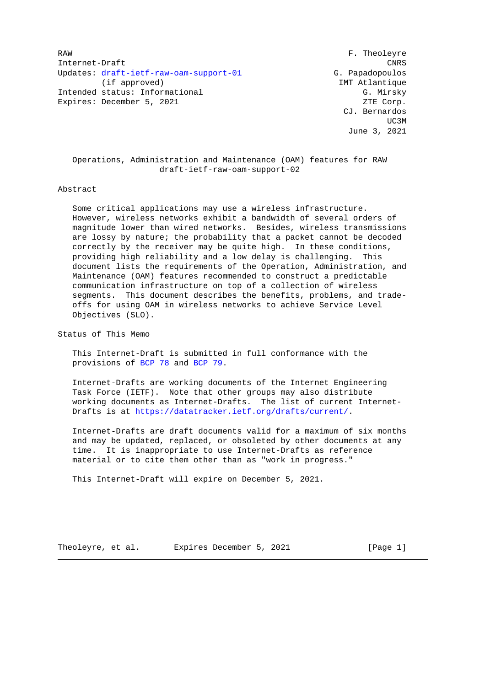RAW F. Theoleyre Internet-Draft CNRS Updates: [draft-ietf-raw-oam-support-01](https://tools.ietf.org/pdf/draft-ietf-raw-oam-support-01) G. Papadopoulos (if approved) IMT Atlantique Intended status: Informational G. Mirsky Expires: December 5, 2021 ZTE Corp.

 CJ. Bernardos UC3M and the contract of the contract of the contract of the contract of the contract of the contract of the contract of the contract of the contract of the contract of the contract of the contract of the contract of the c June 3, 2021

 Operations, Administration and Maintenance (OAM) features for RAW draft-ietf-raw-oam-support-02

#### Abstract

 Some critical applications may use a wireless infrastructure. However, wireless networks exhibit a bandwidth of several orders of magnitude lower than wired networks. Besides, wireless transmissions are lossy by nature; the probability that a packet cannot be decoded correctly by the receiver may be quite high. In these conditions, providing high reliability and a low delay is challenging. This document lists the requirements of the Operation, Administration, and Maintenance (OAM) features recommended to construct a predictable communication infrastructure on top of a collection of wireless segments. This document describes the benefits, problems, and trade offs for using OAM in wireless networks to achieve Service Level Objectives (SLO).

Status of This Memo

 This Internet-Draft is submitted in full conformance with the provisions of [BCP 78](https://tools.ietf.org/pdf/bcp78) and [BCP 79.](https://tools.ietf.org/pdf/bcp79)

 Internet-Drafts are working documents of the Internet Engineering Task Force (IETF). Note that other groups may also distribute working documents as Internet-Drafts. The list of current Internet- Drafts is at [https://datatracker.ietf.org/drafts/current/.](https://datatracker.ietf.org/drafts/current/)

 Internet-Drafts are draft documents valid for a maximum of six months and may be updated, replaced, or obsoleted by other documents at any time. It is inappropriate to use Internet-Drafts as reference material or to cite them other than as "work in progress."

This Internet-Draft will expire on December 5, 2021.

Theoleyre, et al. Expires December 5, 2021 [Page 1]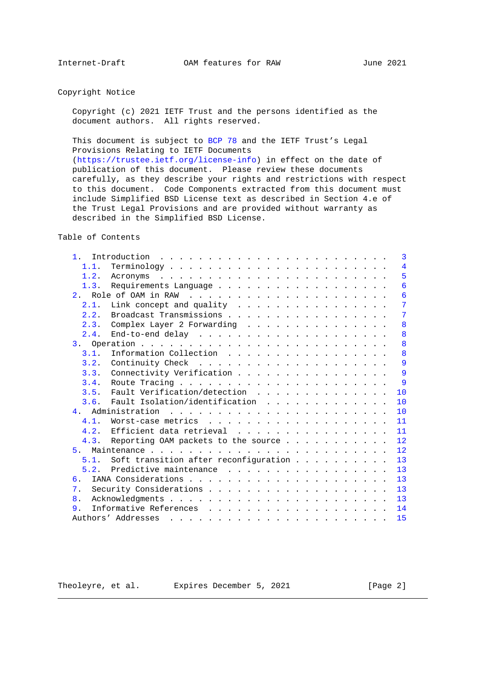Copyright Notice

 Copyright (c) 2021 IETF Trust and the persons identified as the document authors. All rights reserved.

 This document is subject to [BCP 78](https://tools.ietf.org/pdf/bcp78) and the IETF Trust's Legal Provisions Relating to IETF Documents

 [\(https://trustee.ietf.org/license-info\)](https://trustee.ietf.org/license-info) in effect on the date of publication of this document. Please review these documents carefully, as they describe your rights and restrictions with respect to this document. Code Components extracted from this document must include Simplified BSD License text as described in Section 4.e of the Trust Legal Provisions and are provided without warranty as described in the Simplified BSD License.

Table of Contents

| 1 <sup>1</sup> | 3                                                                                                                                                                                                                                                             |
|----------------|---------------------------------------------------------------------------------------------------------------------------------------------------------------------------------------------------------------------------------------------------------------|
| 1.1.           | 4                                                                                                                                                                                                                                                             |
| 1.2.           | 5                                                                                                                                                                                                                                                             |
| 1.3.           | 6                                                                                                                                                                                                                                                             |
|                | 6                                                                                                                                                                                                                                                             |
| 2.1.           | 7                                                                                                                                                                                                                                                             |
| 2.2.           | Broadcast Transmissions<br>7                                                                                                                                                                                                                                  |
| 2.3.           | Complex Layer 2 Forwarding<br>8                                                                                                                                                                                                                               |
| 2.4.           | 8                                                                                                                                                                                                                                                             |
|                | 8                                                                                                                                                                                                                                                             |
| 3.1.           | Information Collection<br>8                                                                                                                                                                                                                                   |
| 3.2.           | 9                                                                                                                                                                                                                                                             |
| 3.3.           | 9<br>Connectivity Verification                                                                                                                                                                                                                                |
| 3.4.           | 9                                                                                                                                                                                                                                                             |
| 3.5.           | Fault Verification/detection<br>10                                                                                                                                                                                                                            |
| 3.6.           | Fault Isolation/identification<br>10                                                                                                                                                                                                                          |
|                | 10                                                                                                                                                                                                                                                            |
| 4.1.           | 11                                                                                                                                                                                                                                                            |
| 4.2.           | Efficient data retrieval<br>11                                                                                                                                                                                                                                |
| 4.3.           | Reporting OAM packets to the source<br>12                                                                                                                                                                                                                     |
| 5 <sub>1</sub> | 12                                                                                                                                                                                                                                                            |
| 5.1.           | Soft transition after reconfiguration<br>13                                                                                                                                                                                                                   |
| 5.2.           | Predictive maintenance<br>13                                                                                                                                                                                                                                  |
| 6.             | 13                                                                                                                                                                                                                                                            |
| 7.             | 13                                                                                                                                                                                                                                                            |
| 8 <sub>1</sub> | 13                                                                                                                                                                                                                                                            |
| 9.             | 14                                                                                                                                                                                                                                                            |
|                | Authors' Addresses<br>15<br>$\mathbf{1}$ , and a set of the set of the set of the set of the set of the set of the set of the set of the set of the set of the set of the set of the set of the set of the set of the set of the set of the set of the set of |
|                |                                                                                                                                                                                                                                                               |

Theoleyre, et al. Expires December 5, 2021 [Page 2]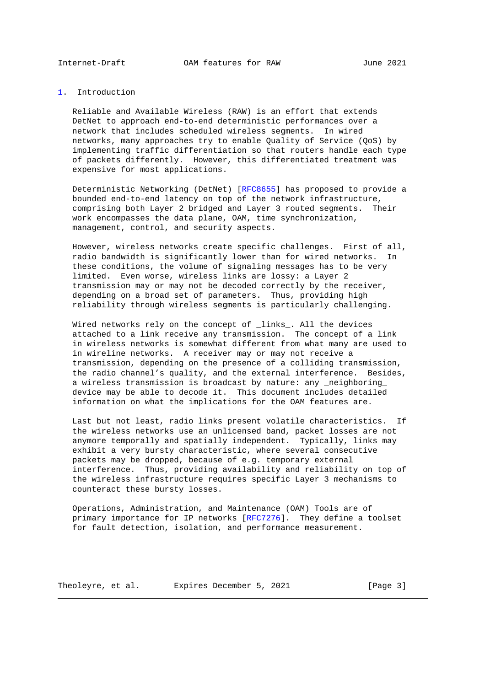<span id="page-2-1"></span>

<span id="page-2-0"></span>[1.](#page-2-0) Introduction

 Reliable and Available Wireless (RAW) is an effort that extends DetNet to approach end-to-end deterministic performances over a network that includes scheduled wireless segments. In wired networks, many approaches try to enable Quality of Service (QoS) by implementing traffic differentiation so that routers handle each type of packets differently. However, this differentiated treatment was expensive for most applications.

 Deterministic Networking (DetNet) [\[RFC8655\]](https://tools.ietf.org/pdf/rfc8655) has proposed to provide a bounded end-to-end latency on top of the network infrastructure, comprising both Layer 2 bridged and Layer 3 routed segments. Their work encompasses the data plane, OAM, time synchronization, management, control, and security aspects.

 However, wireless networks create specific challenges. First of all, radio bandwidth is significantly lower than for wired networks. In these conditions, the volume of signaling messages has to be very limited. Even worse, wireless links are lossy: a Layer 2 transmission may or may not be decoded correctly by the receiver, depending on a broad set of parameters. Thus, providing high reliability through wireless segments is particularly challenging.

Wired networks rely on the concept of \_links\_. All the devices attached to a link receive any transmission. The concept of a link in wireless networks is somewhat different from what many are used to in wireline networks. A receiver may or may not receive a transmission, depending on the presence of a colliding transmission, the radio channel's quality, and the external interference. Besides, a wireless transmission is broadcast by nature: any \_neighboring\_ device may be able to decode it. This document includes detailed information on what the implications for the OAM features are.

 Last but not least, radio links present volatile characteristics. If the wireless networks use an unlicensed band, packet losses are not anymore temporally and spatially independent. Typically, links may exhibit a very bursty characteristic, where several consecutive packets may be dropped, because of e.g. temporary external interference. Thus, providing availability and reliability on top of the wireless infrastructure requires specific Layer 3 mechanisms to counteract these bursty losses.

 Operations, Administration, and Maintenance (OAM) Tools are of primary importance for IP networks [\[RFC7276\]](https://tools.ietf.org/pdf/rfc7276). They define a toolset for fault detection, isolation, and performance measurement.

Theoleyre, et al. Expires December 5, 2021 [Page 3]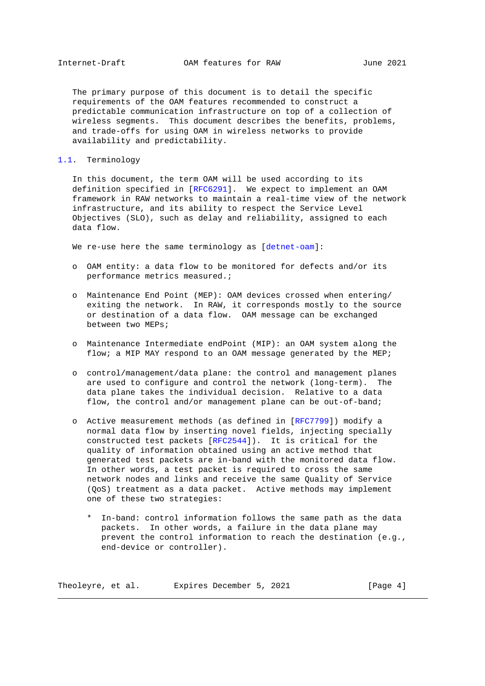<span id="page-3-1"></span> The primary purpose of this document is to detail the specific requirements of the OAM features recommended to construct a predictable communication infrastructure on top of a collection of wireless segments. This document describes the benefits, problems, and trade-offs for using OAM in wireless networks to provide availability and predictability.

# <span id="page-3-0"></span>[1.1.](#page-3-0) Terminology

 In this document, the term OAM will be used according to its definition specified in [\[RFC6291\]](https://tools.ietf.org/pdf/rfc6291). We expect to implement an OAM framework in RAW networks to maintain a real-time view of the network infrastructure, and its ability to respect the Service Level Objectives (SLO), such as delay and reliability, assigned to each data flow.

We re-use here the same terminology as [\[detnet-oam\]](#page-13-2):

- o OAM entity: a data flow to be monitored for defects and/or its performance metrics measured.;
- o Maintenance End Point (MEP): OAM devices crossed when entering/ exiting the network. In RAW, it corresponds mostly to the source or destination of a data flow. OAM message can be exchanged between two MEPs;
- o Maintenance Intermediate endPoint (MIP): an OAM system along the flow; a MIP MAY respond to an OAM message generated by the MEP;
- o control/management/data plane: the control and management planes are used to configure and control the network (long-term). The data plane takes the individual decision. Relative to a data flow, the control and/or management plane can be out-of-band;
- o Active measurement methods (as defined in [\[RFC7799\]](https://tools.ietf.org/pdf/rfc7799)) modify a normal data flow by inserting novel fields, injecting specially constructed test packets [\[RFC2544\]](https://tools.ietf.org/pdf/rfc2544)). It is critical for the quality of information obtained using an active method that generated test packets are in-band with the monitored data flow. In other words, a test packet is required to cross the same network nodes and links and receive the same Quality of Service (QoS) treatment as a data packet. Active methods may implement one of these two strategies:
	- \* In-band: control information follows the same path as the data packets. In other words, a failure in the data plane may prevent the control information to reach the destination (e.g., end-device or controller).

| Expires December 5, 2021<br>Theoleyre, et al. | [Page 4] |  |
|-----------------------------------------------|----------|--|
|-----------------------------------------------|----------|--|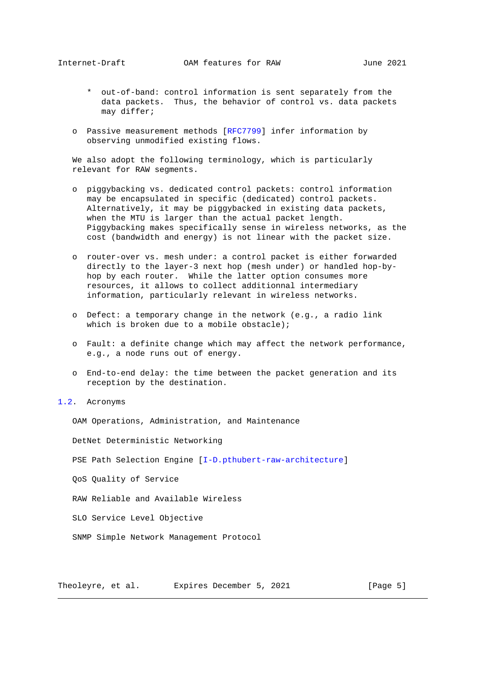- <span id="page-4-1"></span> \* out-of-band: control information is sent separately from the data packets. Thus, the behavior of control vs. data packets may differ;
- o Passive measurement methods [\[RFC7799\]](https://tools.ietf.org/pdf/rfc7799) infer information by observing unmodified existing flows.

 We also adopt the following terminology, which is particularly relevant for RAW segments.

- o piggybacking vs. dedicated control packets: control information may be encapsulated in specific (dedicated) control packets. Alternatively, it may be piggybacked in existing data packets, when the MTU is larger than the actual packet length. Piggybacking makes specifically sense in wireless networks, as the cost (bandwidth and energy) is not linear with the packet size.
- o router-over vs. mesh under: a control packet is either forwarded directly to the layer-3 next hop (mesh under) or handled hop-by hop by each router. While the latter option consumes more resources, it allows to collect additionnal intermediary information, particularly relevant in wireless networks.
- o Defect: a temporary change in the network (e.g., a radio link which is broken due to a mobile obstacle);
- o Fault: a definite change which may affect the network performance, e.g., a node runs out of energy.
- o End-to-end delay: the time between the packet generation and its reception by the destination.
- <span id="page-4-0"></span>[1.2.](#page-4-0) Acronyms

OAM Operations, Administration, and Maintenance

DetNet Deterministic Networking

PSE Path Selection Engine [\[I-D.pthubert-raw-architecture\]](#page-13-3)

QoS Quality of Service

RAW Reliable and Available Wireless

SLO Service Level Objective

SNMP Simple Network Management Protocol

Theoleyre, et al. Expires December 5, 2021 [Page 5]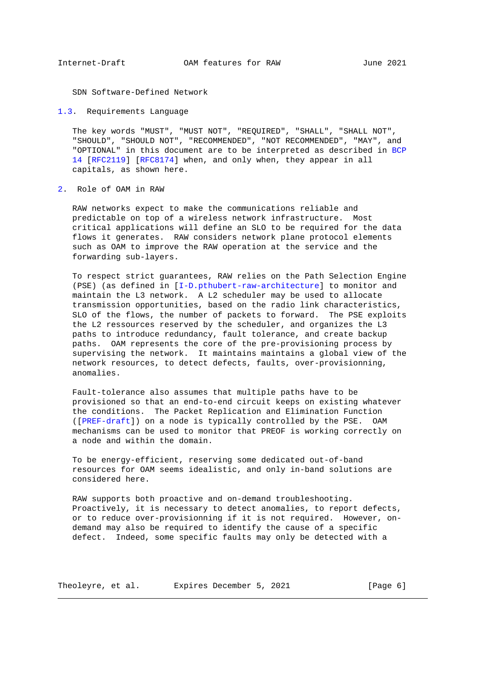<span id="page-5-1"></span>SDN Software-Defined Network

<span id="page-5-0"></span>[1.3.](#page-5-0) Requirements Language

 The key words "MUST", "MUST NOT", "REQUIRED", "SHALL", "SHALL NOT", "SHOULD", "SHOULD NOT", "RECOMMENDED", "NOT RECOMMENDED", "MAY", and "OPTIONAL" in this document are to be interpreted as described in [BCP](https://tools.ietf.org/pdf/bcp14) [14](https://tools.ietf.org/pdf/bcp14) [\[RFC2119\]](https://tools.ietf.org/pdf/rfc2119) [\[RFC8174\]](https://tools.ietf.org/pdf/rfc8174) when, and only when, they appear in all capitals, as shown here.

<span id="page-5-2"></span>[2.](#page-5-2) Role of OAM in RAW

 RAW networks expect to make the communications reliable and predictable on top of a wireless network infrastructure. Most critical applications will define an SLO to be required for the data flows it generates. RAW considers network plane protocol elements such as OAM to improve the RAW operation at the service and the forwarding sub-layers.

 To respect strict guarantees, RAW relies on the Path Selection Engine (PSE) (as defined in [\[I-D.pthubert-raw-architecture\]](#page-13-3) to monitor and maintain the L3 network. A L2 scheduler may be used to allocate transmission opportunities, based on the radio link characteristics, SLO of the flows, the number of packets to forward. The PSE exploits the L2 ressources reserved by the scheduler, and organizes the L3 paths to introduce redundancy, fault tolerance, and create backup paths. OAM represents the core of the pre-provisioning process by supervising the network. It maintains maintains a global view of the network resources, to detect defects, faults, over-provisionning, anomalies.

 Fault-tolerance also assumes that multiple paths have to be provisioned so that an end-to-end circuit keeps on existing whatever the conditions. The Packet Replication and Elimination Function ([\[PREF-draft\]](#page-13-4)) on a node is typically controlled by the PSE. OAM mechanisms can be used to monitor that PREOF is working correctly on a node and within the domain.

 To be energy-efficient, reserving some dedicated out-of-band resources for OAM seems idealistic, and only in-band solutions are considered here.

 RAW supports both proactive and on-demand troubleshooting. Proactively, it is necessary to detect anomalies, to report defects, or to reduce over-provisionning if it is not required. However, on demand may also be required to identify the cause of a specific defect. Indeed, some specific faults may only be detected with a

Theoleyre, et al. Expires December 5, 2021 [Page 6]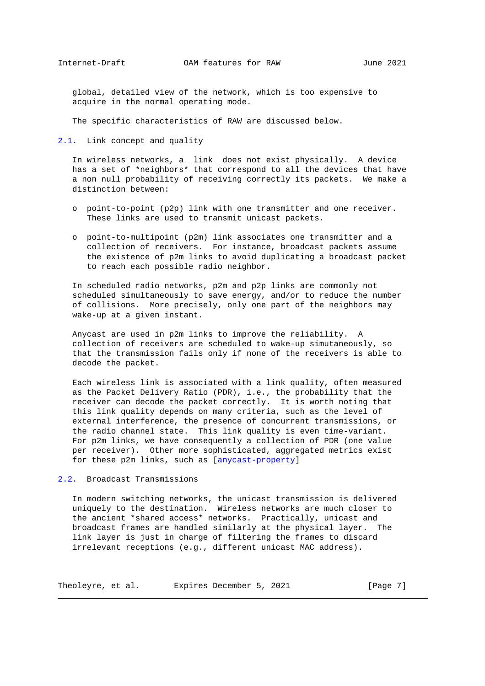<span id="page-6-1"></span> global, detailed view of the network, which is too expensive to acquire in the normal operating mode.

The specific characteristics of RAW are discussed below.

<span id="page-6-0"></span>[2.1.](#page-6-0) Link concept and quality

 In wireless networks, a \_link\_ does not exist physically. A device has a set of \*neighbors\* that correspond to all the devices that have a non null probability of receiving correctly its packets. We make a distinction between:

- o point-to-point (p2p) link with one transmitter and one receiver. These links are used to transmit unicast packets.
- o point-to-multipoint (p2m) link associates one transmitter and a collection of receivers. For instance, broadcast packets assume the existence of p2m links to avoid duplicating a broadcast packet to reach each possible radio neighbor.

 In scheduled radio networks, p2m and p2p links are commonly not scheduled simultaneously to save energy, and/or to reduce the number of collisions. More precisely, only one part of the neighbors may wake-up at a given instant.

 Anycast are used in p2m links to improve the reliability. A collection of receivers are scheduled to wake-up simutaneously, so that the transmission fails only if none of the receivers is able to decode the packet.

 Each wireless link is associated with a link quality, often measured as the Packet Delivery Ratio (PDR), i.e., the probability that the receiver can decode the packet correctly. It is worth noting that this link quality depends on many criteria, such as the level of external interference, the presence of concurrent transmissions, or the radio channel state. This link quality is even time-variant. For p2m links, we have consequently a collection of PDR (one value per receiver). Other more sophisticated, aggregated metrics exist for these p2m links, such as [\[anycast-property\]](#page-13-5)

<span id="page-6-2"></span>[2.2.](#page-6-2) Broadcast Transmissions

 In modern switching networks, the unicast transmission is delivered uniquely to the destination. Wireless networks are much closer to the ancient \*shared access\* networks. Practically, unicast and broadcast frames are handled similarly at the physical layer. The link layer is just in charge of filtering the frames to discard irrelevant receptions (e.g., different unicast MAC address).

| Theoleyre, et al. | Expires December 5, 2021 |  | [Page 7] |
|-------------------|--------------------------|--|----------|
|                   |                          |  |          |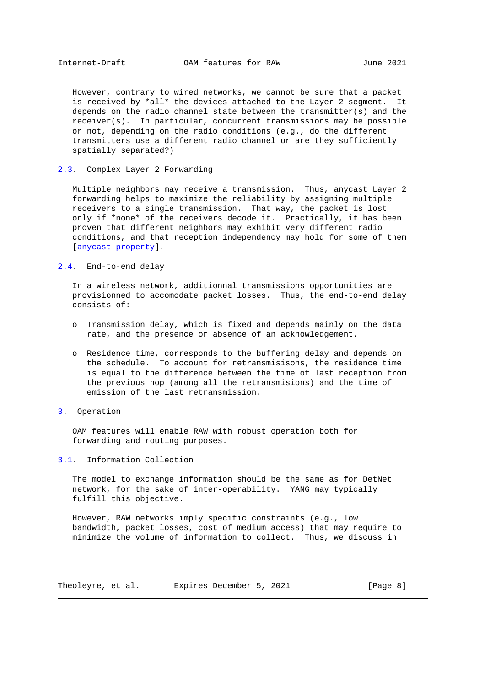<span id="page-7-1"></span> However, contrary to wired networks, we cannot be sure that a packet is received by \*all\* the devices attached to the Layer 2 segment. It depends on the radio channel state between the transmitter(s) and the receiver(s). In particular, concurrent transmissions may be possible or not, depending on the radio conditions (e.g., do the different transmitters use a different radio channel or are they sufficiently spatially separated?)

# <span id="page-7-0"></span>[2.3.](#page-7-0) Complex Layer 2 Forwarding

 Multiple neighbors may receive a transmission. Thus, anycast Layer 2 forwarding helps to maximize the reliability by assigning multiple receivers to a single transmission. That way, the packet is lost only if \*none\* of the receivers decode it. Practically, it has been proven that different neighbors may exhibit very different radio conditions, and that reception independency may hold for some of them [\[anycast-property\]](#page-13-5).

# <span id="page-7-2"></span>[2.4.](#page-7-2) End-to-end delay

 In a wireless network, additionnal transmissions opportunities are provisionned to accomodate packet losses. Thus, the end-to-end delay consists of:

- o Transmission delay, which is fixed and depends mainly on the data rate, and the presence or absence of an acknowledgement.
- o Residence time, corresponds to the buffering delay and depends on the schedule. To account for retransmisisons, the residence time is equal to the difference between the time of last reception from the previous hop (among all the retransmisions) and the time of emission of the last retransmission.

### <span id="page-7-3"></span>[3.](#page-7-3) Operation

 OAM features will enable RAW with robust operation both for forwarding and routing purposes.

# <span id="page-7-4"></span>[3.1.](#page-7-4) Information Collection

 The model to exchange information should be the same as for DetNet network, for the sake of inter-operability. YANG may typically fulfill this objective.

 However, RAW networks imply specific constraints (e.g., low bandwidth, packet losses, cost of medium access) that may require to minimize the volume of information to collect. Thus, we discuss in

| Theoleyre, et al. | Expires December 5, 2021 |  | [Paqe 8] |
|-------------------|--------------------------|--|----------|
|-------------------|--------------------------|--|----------|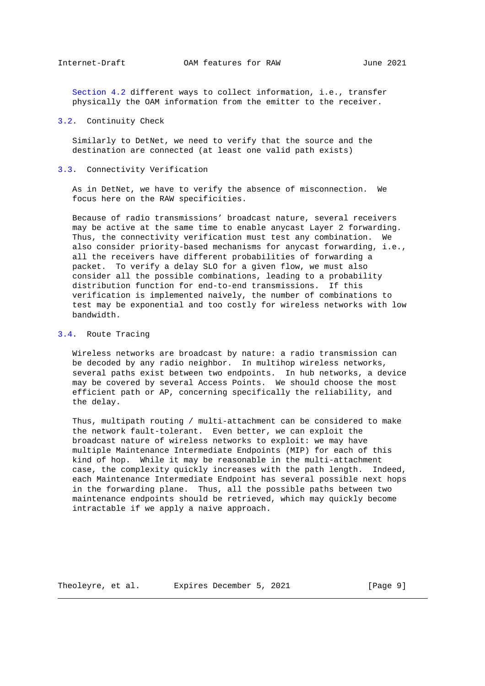<span id="page-8-1"></span> [Section 4.2](#page-10-2) different ways to collect information, i.e., transfer physically the OAM information from the emitter to the receiver.

# <span id="page-8-0"></span>[3.2.](#page-8-0) Continuity Check

 Similarly to DetNet, we need to verify that the source and the destination are connected (at least one valid path exists)

### <span id="page-8-2"></span>[3.3.](#page-8-2) Connectivity Verification

 As in DetNet, we have to verify the absence of misconnection. We focus here on the RAW specificities.

 Because of radio transmissions' broadcast nature, several receivers may be active at the same time to enable anycast Layer 2 forwarding. Thus, the connectivity verification must test any combination. We also consider priority-based mechanisms for anycast forwarding, i.e., all the receivers have different probabilities of forwarding a packet. To verify a delay SLO for a given flow, we must also consider all the possible combinations, leading to a probability distribution function for end-to-end transmissions. If this verification is implemented naively, the number of combinations to test may be exponential and too costly for wireless networks with low bandwidth.

# <span id="page-8-3"></span>[3.4.](#page-8-3) Route Tracing

 Wireless networks are broadcast by nature: a radio transmission can be decoded by any radio neighbor. In multihop wireless networks, several paths exist between two endpoints. In hub networks, a device may be covered by several Access Points. We should choose the most efficient path or AP, concerning specifically the reliability, and the delay.

 Thus, multipath routing / multi-attachment can be considered to make the network fault-tolerant. Even better, we can exploit the broadcast nature of wireless networks to exploit: we may have multiple Maintenance Intermediate Endpoints (MIP) for each of this kind of hop. While it may be reasonable in the multi-attachment case, the complexity quickly increases with the path length. Indeed, each Maintenance Intermediate Endpoint has several possible next hops in the forwarding plane. Thus, all the possible paths between two maintenance endpoints should be retrieved, which may quickly become intractable if we apply a naive approach.

Theoleyre, et al. Expires December 5, 2021 [Page 9]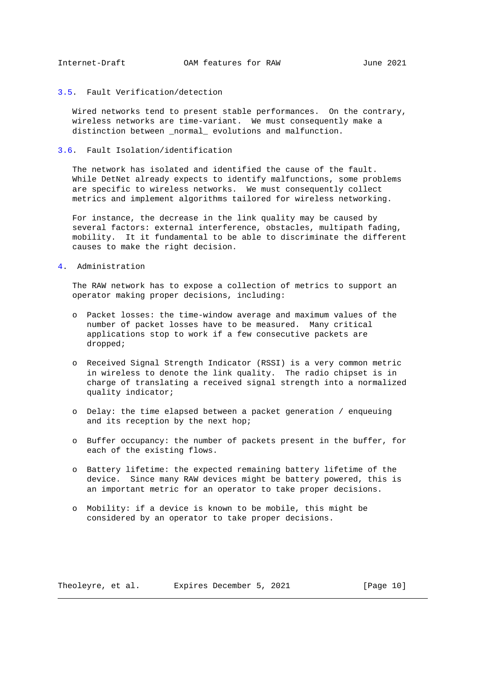# <span id="page-9-1"></span><span id="page-9-0"></span>[3.5.](#page-9-0) Fault Verification/detection

 Wired networks tend to present stable performances. On the contrary, wireless networks are time-variant. We must consequently make a distinction between \_normal\_ evolutions and malfunction.

### <span id="page-9-2"></span>[3.6.](#page-9-2) Fault Isolation/identification

 The network has isolated and identified the cause of the fault. While DetNet already expects to identify malfunctions, some problems are specific to wireless networks. We must consequently collect metrics and implement algorithms tailored for wireless networking.

 For instance, the decrease in the link quality may be caused by several factors: external interference, obstacles, multipath fading, mobility. It it fundamental to be able to discriminate the different causes to make the right decision.

<span id="page-9-3"></span>[4.](#page-9-3) Administration

 The RAW network has to expose a collection of metrics to support an operator making proper decisions, including:

- o Packet losses: the time-window average and maximum values of the number of packet losses have to be measured. Many critical applications stop to work if a few consecutive packets are dropped;
- o Received Signal Strength Indicator (RSSI) is a very common metric in wireless to denote the link quality. The radio chipset is in charge of translating a received signal strength into a normalized quality indicator;
- o Delay: the time elapsed between a packet generation / enqueuing and its reception by the next hop;
- o Buffer occupancy: the number of packets present in the buffer, for each of the existing flows.
- o Battery lifetime: the expected remaining battery lifetime of the device. Since many RAW devices might be battery powered, this is an important metric for an operator to take proper decisions.
- o Mobility: if a device is known to be mobile, this might be considered by an operator to take proper decisions.

Theoleyre, et al. Expires December 5, 2021 [Page 10]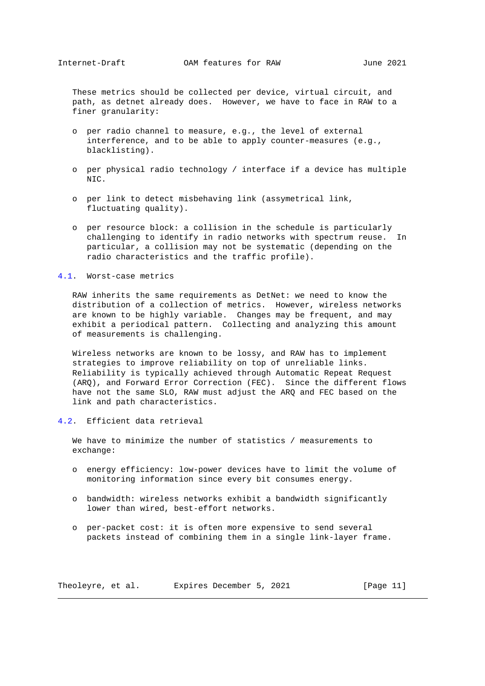<span id="page-10-1"></span> These metrics should be collected per device, virtual circuit, and path, as detnet already does. However, we have to face in RAW to a finer granularity:

- o per radio channel to measure, e.g., the level of external interference, and to be able to apply counter-measures (e.g., blacklisting).
- o per physical radio technology / interface if a device has multiple NIC.
- o per link to detect misbehaving link (assymetrical link, fluctuating quality).
- o per resource block: a collision in the schedule is particularly challenging to identify in radio networks with spectrum reuse. In particular, a collision may not be systematic (depending on the radio characteristics and the traffic profile).

#### <span id="page-10-0"></span>[4.1.](#page-10-0) Worst-case metrics

 RAW inherits the same requirements as DetNet: we need to know the distribution of a collection of metrics. However, wireless networks are known to be highly variable. Changes may be frequent, and may exhibit a periodical pattern. Collecting and analyzing this amount of measurements is challenging.

 Wireless networks are known to be lossy, and RAW has to implement strategies to improve reliability on top of unreliable links. Reliability is typically achieved through Automatic Repeat Request (ARQ), and Forward Error Correction (FEC). Since the different flows have not the same SLO, RAW must adjust the ARQ and FEC based on the link and path characteristics.

# <span id="page-10-2"></span>[4.2.](#page-10-2) Efficient data retrieval

 We have to minimize the number of statistics / measurements to exchange:

- o energy efficiency: low-power devices have to limit the volume of monitoring information since every bit consumes energy.
- o bandwidth: wireless networks exhibit a bandwidth significantly lower than wired, best-effort networks.
- o per-packet cost: it is often more expensive to send several packets instead of combining them in a single link-layer frame.

Theoleyre, et al. Expires December 5, 2021 [Page 11]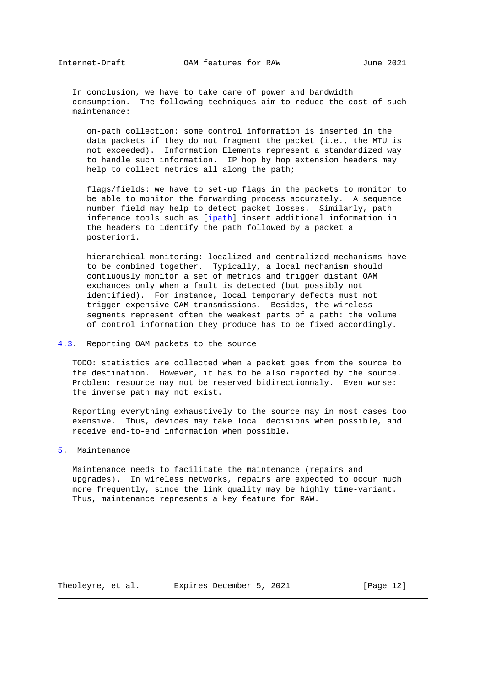<span id="page-11-1"></span> In conclusion, we have to take care of power and bandwidth consumption. The following techniques aim to reduce the cost of such maintenance:

 on-path collection: some control information is inserted in the data packets if they do not fragment the packet (i.e., the MTU is not exceeded). Information Elements represent a standardized way to handle such information. IP hop by hop extension headers may help to collect metrics all along the path;

 flags/fields: we have to set-up flags in the packets to monitor to be able to monitor the forwarding process accurately. A sequence number field may help to detect packet losses. Similarly, path inference tools such as [\[ipath\]](#page-13-6) insert additional information in the headers to identify the path followed by a packet a posteriori.

 hierarchical monitoring: localized and centralized mechanisms have to be combined together. Typically, a local mechanism should contiuously monitor a set of metrics and trigger distant OAM exchances only when a fault is detected (but possibly not identified). For instance, local temporary defects must not trigger expensive OAM transmissions. Besides, the wireless segments represent often the weakest parts of a path: the volume of control information they produce has to be fixed accordingly.

# <span id="page-11-0"></span>[4.3.](#page-11-0) Reporting OAM packets to the source

 TODO: statistics are collected when a packet goes from the source to the destination. However, it has to be also reported by the source. Problem: resource may not be reserved bidirectionnaly. Even worse: the inverse path may not exist.

 Reporting everything exhaustively to the source may in most cases too exensive. Thus, devices may take local decisions when possible, and receive end-to-end information when possible.

# <span id="page-11-2"></span>[5.](#page-11-2) Maintenance

 Maintenance needs to facilitate the maintenance (repairs and upgrades). In wireless networks, repairs are expected to occur much more frequently, since the link quality may be highly time-variant. Thus, maintenance represents a key feature for RAW.

Theoleyre, et al. Expires December 5, 2021 [Page 12]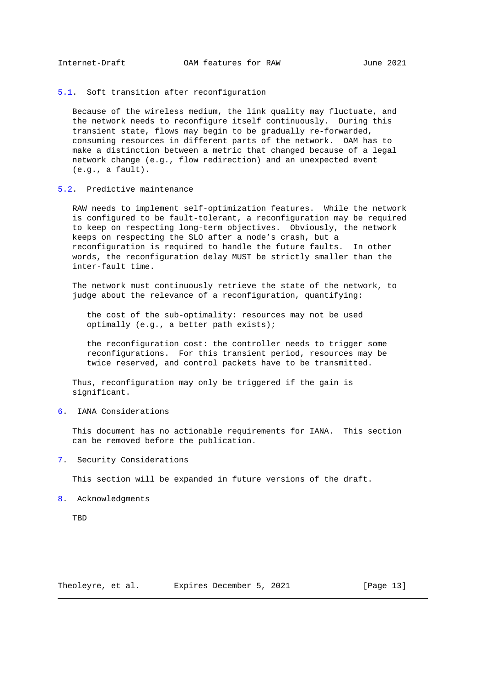<span id="page-12-1"></span><span id="page-12-0"></span>[5.1.](#page-12-0) Soft transition after reconfiguration

 Because of the wireless medium, the link quality may fluctuate, and the network needs to reconfigure itself continuously. During this transient state, flows may begin to be gradually re-forwarded, consuming resources in different parts of the network. OAM has to make a distinction between a metric that changed because of a legal network change (e.g., flow redirection) and an unexpected event (e.g., a fault).

### <span id="page-12-2"></span>[5.2.](#page-12-2) Predictive maintenance

 RAW needs to implement self-optimization features. While the network is configured to be fault-tolerant, a reconfiguration may be required to keep on respecting long-term objectives. Obviously, the network keeps on respecting the SLO after a node's crash, but a reconfiguration is required to handle the future faults. In other words, the reconfiguration delay MUST be strictly smaller than the inter-fault time.

 The network must continuously retrieve the state of the network, to judge about the relevance of a reconfiguration, quantifying:

 the cost of the sub-optimality: resources may not be used optimally (e.g., a better path exists);

 the reconfiguration cost: the controller needs to trigger some reconfigurations. For this transient period, resources may be twice reserved, and control packets have to be transmitted.

 Thus, reconfiguration may only be triggered if the gain is significant.

<span id="page-12-3"></span>[6.](#page-12-3) IANA Considerations

 This document has no actionable requirements for IANA. This section can be removed before the publication.

<span id="page-12-4"></span>[7.](#page-12-4) Security Considerations

This section will be expanded in future versions of the draft.

<span id="page-12-5"></span>[8.](#page-12-5) Acknowledgments

**TBD** 

Theoleyre, et al. Expires December 5, 2021 [Page 13]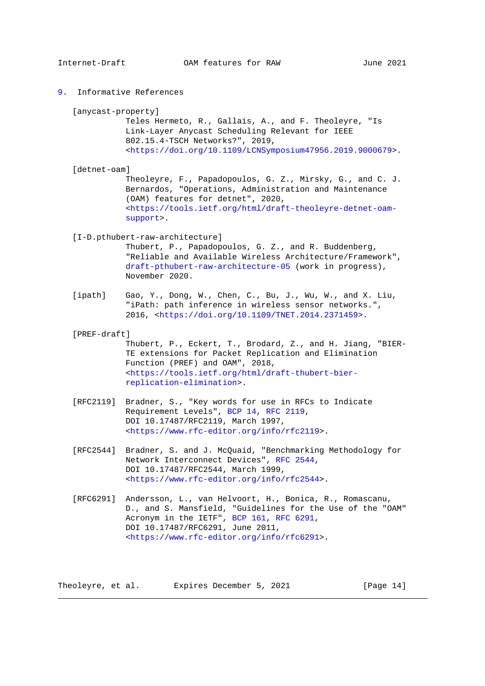<span id="page-13-5"></span><span id="page-13-1"></span><span id="page-13-0"></span>[9.](#page-13-0) Informative References

[anycast-property]

 Teles Hermeto, R., Gallais, A., and F. Theoleyre, "Is Link-Layer Anycast Scheduling Relevant for IEEE 802.15.4-TSCH Networks?", 2019, [<https://doi.org/10.1109/LCNSymposium47956.2019.9000679>](https://doi.org/10.1109/LCNSymposium47956.2019.9000679).

<span id="page-13-2"></span>[detnet-oam]

 Theoleyre, F., Papadopoulos, G. Z., Mirsky, G., and C. J. Bernardos, "Operations, Administration and Maintenance (OAM) features for detnet", 2020, [<https://tools.ietf.org/html/draft-theoleyre-detnet-oam](https://tools.ietf.org/html/draft-theoleyre-detnet-oam-support) [support>](https://tools.ietf.org/html/draft-theoleyre-detnet-oam-support).

<span id="page-13-3"></span>[I-D.pthubert-raw-architecture]

 Thubert, P., Papadopoulos, G. Z., and R. Buddenberg, "Reliable and Available Wireless Architecture/Framework", [draft-pthubert-raw-architecture-05](https://tools.ietf.org/pdf/draft-pthubert-raw-architecture-05) (work in progress), November 2020.

- <span id="page-13-6"></span> [ipath] Gao, Y., Dong, W., Chen, C., Bu, J., Wu, W., and X. Liu, "iPath: path inference in wireless sensor networks.", 2016, [<https://doi.org/10.1109/TNET.2014.2371459>](https://doi.org/10.1109/TNET.2014.2371459).
- <span id="page-13-4"></span>[PREF-draft]
	- Thubert, P., Eckert, T., Brodard, Z., and H. Jiang, "BIER- TE extensions for Packet Replication and Elimination Function (PREF) and OAM", 2018, [<https://tools.ietf.org/html/draft-thubert-bier](https://tools.ietf.org/html/draft-thubert-bier-replication-elimination) [replication-elimination>](https://tools.ietf.org/html/draft-thubert-bier-replication-elimination).
- [RFC2119] Bradner, S., "Key words for use in RFCs to Indicate Requirement Levels", [BCP 14,](https://tools.ietf.org/pdf/bcp14) [RFC 2119,](https://tools.ietf.org/pdf/rfc2119) DOI 10.17487/RFC2119, March 1997, [<https://www.rfc-editor.org/info/rfc2119>](https://www.rfc-editor.org/info/rfc2119).
- [RFC2544] Bradner, S. and J. McQuaid, "Benchmarking Methodology for Network Interconnect Devices", [RFC 2544,](https://tools.ietf.org/pdf/rfc2544) DOI 10.17487/RFC2544, March 1999, [<https://www.rfc-editor.org/info/rfc2544>](https://www.rfc-editor.org/info/rfc2544).
- [RFC6291] Andersson, L., van Helvoort, H., Bonica, R., Romascanu, D., and S. Mansfield, "Guidelines for the Use of the "OAM" Acronym in the IETF", [BCP 161,](https://tools.ietf.org/pdf/bcp161) [RFC 6291,](https://tools.ietf.org/pdf/rfc6291) DOI 10.17487/RFC6291, June 2011, [<https://www.rfc-editor.org/info/rfc6291>](https://www.rfc-editor.org/info/rfc6291).

Theoleyre, et al. Expires December 5, 2021 [Page 14]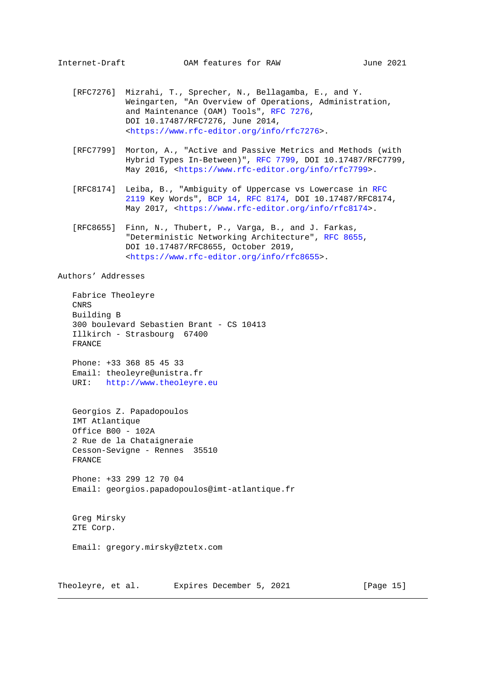- <span id="page-14-0"></span> [RFC7276] Mizrahi, T., Sprecher, N., Bellagamba, E., and Y. Weingarten, "An Overview of Operations, Administration, and Maintenance (OAM) Tools", [RFC 7276,](https://tools.ietf.org/pdf/rfc7276) DOI 10.17487/RFC7276, June 2014, [<https://www.rfc-editor.org/info/rfc7276>](https://www.rfc-editor.org/info/rfc7276).
- [RFC7799] Morton, A., "Active and Passive Metrics and Methods (with Hybrid Types In-Between)", [RFC 7799,](https://tools.ietf.org/pdf/rfc7799) DOI 10.17487/RFC7799, May 2016, [<https://www.rfc-editor.org/info/rfc7799>](https://www.rfc-editor.org/info/rfc7799).
- [RFC8174] Leiba, B., "Ambiguity of Uppercase vs Lowercase in [RFC](https://tools.ietf.org/pdf/rfc2119) [2119](https://tools.ietf.org/pdf/rfc2119) Key Words", [BCP 14,](https://tools.ietf.org/pdf/bcp14) [RFC 8174,](https://tools.ietf.org/pdf/rfc8174) DOI 10.17487/RFC8174, May 2017, [<https://www.rfc-editor.org/info/rfc8174>](https://www.rfc-editor.org/info/rfc8174).
- [RFC8655] Finn, N., Thubert, P., Varga, B., and J. Farkas, "Deterministic Networking Architecture", [RFC 8655,](https://tools.ietf.org/pdf/rfc8655) DOI 10.17487/RFC8655, October 2019, [<https://www.rfc-editor.org/info/rfc8655>](https://www.rfc-editor.org/info/rfc8655).

Authors' Addresses

 Fabrice Theoleyre CNRS Building B 300 boulevard Sebastien Brant - CS 10413 Illkirch - Strasbourg 67400 FRANCE

 Phone: +33 368 85 45 33 Email: theoleyre@unistra.fr URI: [http://www.theoleyre.eu](http://www.theoleyre.eu/)

 Georgios Z. Papadopoulos IMT Atlantique Office B00 - 102A 2 Rue de la Chataigneraie Cesson-Sevigne - Rennes 35510 FRANCE

 Phone: +33 299 12 70 04 Email: georgios.papadopoulos@imt-atlantique.fr

 Greg Mirsky ZTE Corp.

Email: gregory.mirsky@ztetx.com

Theoleyre, et al. Expires December 5, 2021 [Page 15]